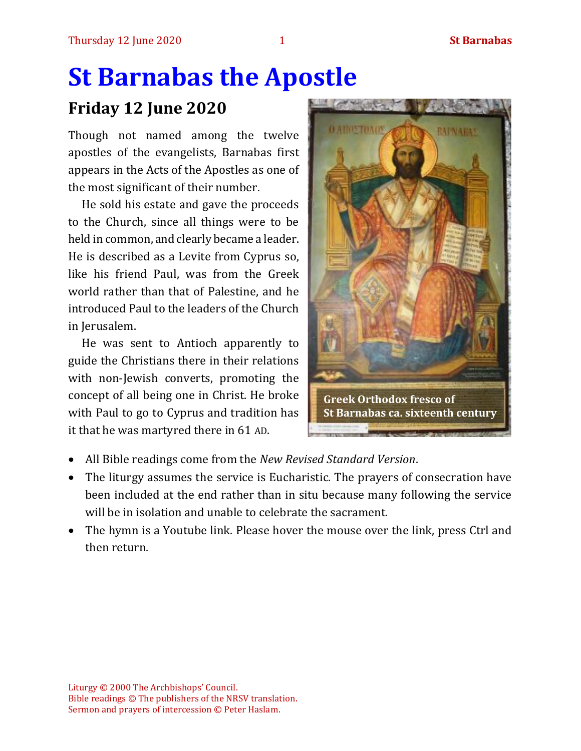# **St Barnabas the Apostle**

# **Friday 12 June 2020**

Though not named among the twelve apostles of the evangelists, Barnabas first appears in the Acts of the Apostles as one of the most significant of their number.

He sold his estate and gave the proceeds to the Church, since all things were to be held in common, and clearly became a leader. He is described as a Levite from Cyprus so, like his friend Paul, was from the Greek world rather than that of Palestine, and he introduced Paul to the leaders of the Church in Jerusalem.

He was sent to Antioch apparently to guide the Christians there in their relations with non-Jewish converts, promoting the concept of all being one in Christ. He broke with Paul to go to Cyprus and tradition has it that he was martyred there in 61 AD.



- All Bible readings come from the *New Revised Standard Version*.
- The liturgy assumes the service is Eucharistic. The prayers of consecration have been included at the end rather than in situ because many following the service will be in isolation and unable to celebrate the sacrament.
- The hymn is a Youtube link. Please hover the mouse over the link, press Ctrl and then return.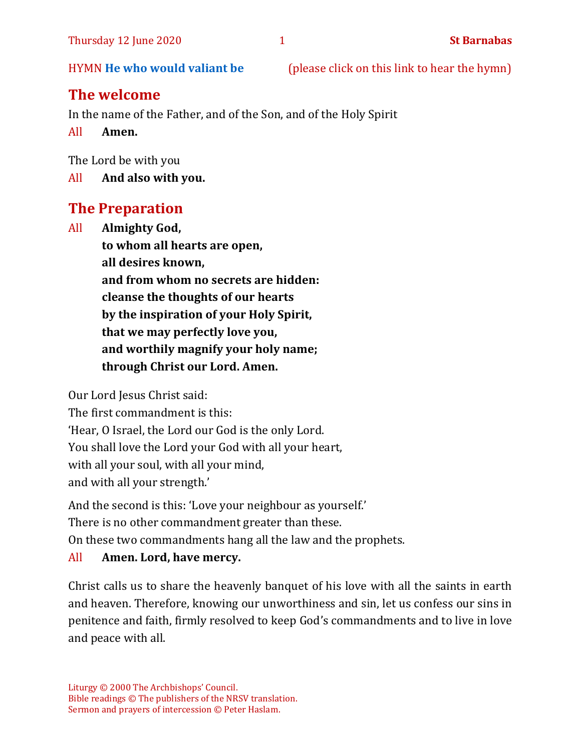HYMN **[He who would valiant be](https://www.youtube.com/watch?v=bQFBdZy74dg)** (please click on this link to hear the hymn)

# **The welcome**

In the name of the Father, and of the Son, and of the Holy Spirit

All **Amen.**

The Lord be with you

All **And also with you.**

# **The Preparation**

All **Almighty God, to whom all hearts are open, all desires known, and from whom no secrets are hidden: cleanse the thoughts of our hearts by the inspiration of your Holy Spirit, that we may perfectly love you, and worthily magnify your holy name; through Christ our Lord. Amen.**

Our Lord Jesus Christ said:

The first commandment is this: 'Hear, O Israel, the Lord our God is the only Lord. You shall love the Lord your God with all your heart, with all your soul, with all your mind, and with all your strength.'

And the second is this: 'Love your neighbour as yourself.'

There is no other commandment greater than these.

On these two commandments hang all the law and the prophets.

### All **Amen. Lord, have mercy.**

Christ calls us to share the heavenly banquet of his love with all the saints in earth and heaven. Therefore, knowing our unworthiness and sin, let us confess our sins in penitence and faith, firmly resolved to keep God's commandments and to live in love and peace with all.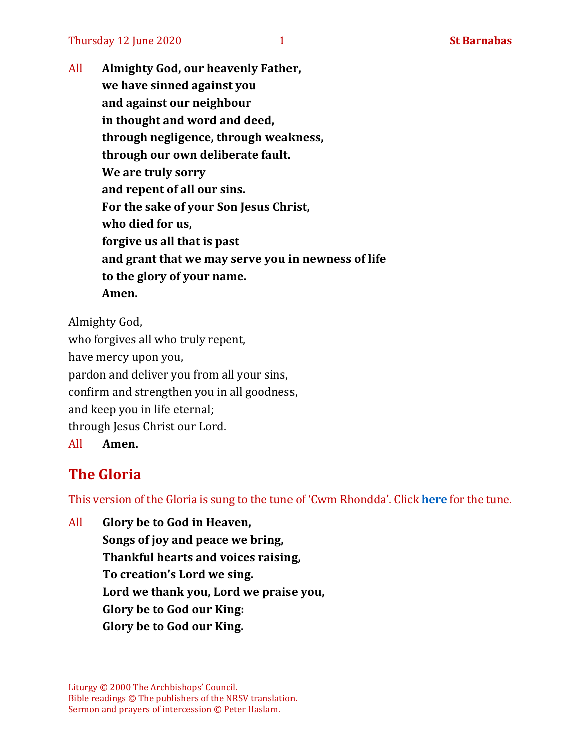All **Almighty God, our heavenly Father, we have sinned against you and against our neighbour in thought and word and deed, through negligence, through weakness, through our own deliberate fault. We are truly sorry and repent of all our sins. For the sake of your Son Jesus Christ, who died for us, forgive us all that is past and grant that we may serve you in newness of life to the glory of your name. Amen.**

Almighty God, who forgives all who truly repent, have mercy upon you, pardon and deliver you from all your sins, confirm and strengthen you in all goodness, and keep you in life eternal; through Jesus Christ our Lord.

All **Amen.**

# **The Gloria**

This version of the Gloria is sung to the tune of 'Cwm Rhondda'. Click **[here](about:blank)** for the tune.

All **Glory be to God in Heaven, Songs of joy and peace we bring, Thankful hearts and voices raising, To creation's Lord we sing. Lord we thank you, Lord we praise you, Glory be to God our King: Glory be to God our King.**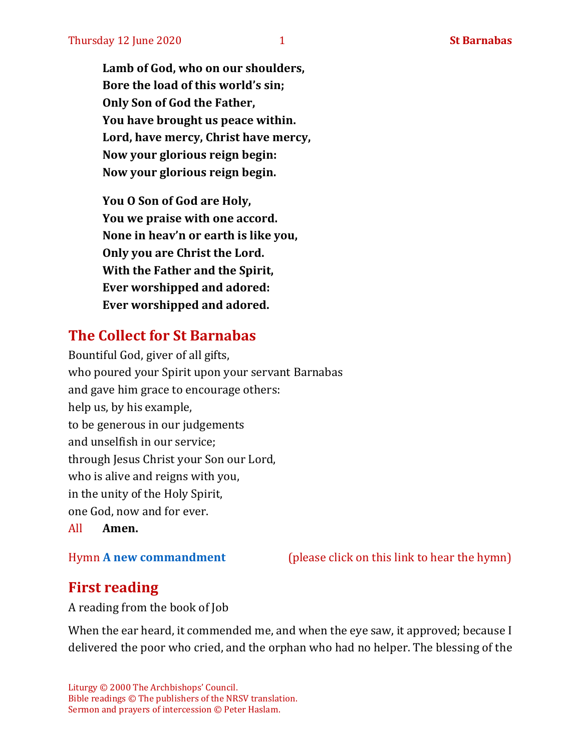**Lamb of God, who on our shoulders, Bore the load of this world's sin; Only Son of God the Father, You have brought us peace within. Lord, have mercy, Christ have mercy, Now your glorious reign begin: Now your glorious reign begin.**

**You O Son of God are Holy, You we praise with one accord. None in heav'n or earth is like you, Only you are Christ the Lord. With the Father and the Spirit, Ever worshipped and adored: Ever worshipped and adored.**

# **The Collect for St Barnabas**

Bountiful God, giver of all gifts, who poured your Spirit upon your servant Barnabas and gave him grace to encourage others: help us, by his example, to be generous in our judgements and unselfish in our service; through Jesus Christ your Son our Lord, who is alive and reigns with you, in the unity of the Holy Spirit, one God, now and for ever.

All **Amen.**

Hymn **[A new commandment](https://www.youtube.com/watch?v=jT0ygUgPvP0)** (please click on this link to hear the hymn)

# **First reading**

A reading from the book of Job

When the ear heard, it commended me, and when the eye saw, it approved; because I delivered the poor who cried, and the orphan who had no helper. The blessing of the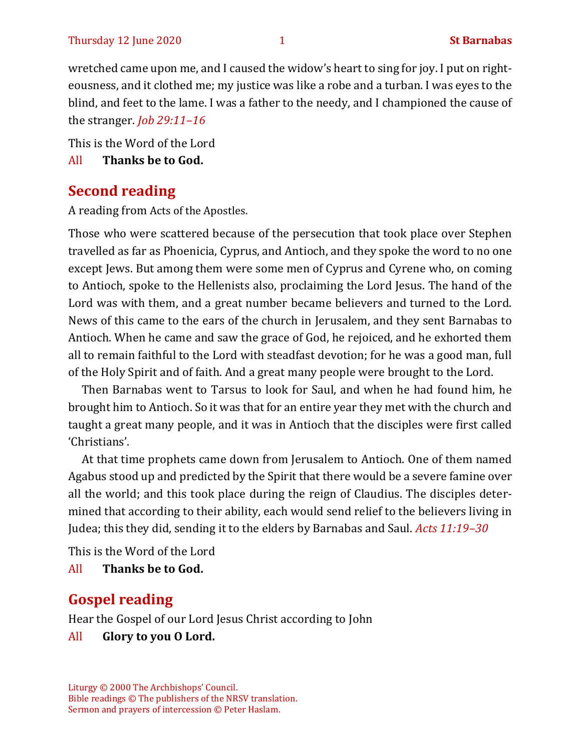wretched came upon me, and I caused the widow's heart to sing for joy. I put on righteousness, and it clothed me; my justice was like a robe and a turban. I was eyes to the blind, and feet to the lame. I was a father to the needy, and I championed the cause of the stranger. *Job 29:11–16*

This is the Word of the Lord

All **Thanks be to God.**

# **Second reading**

A reading from Acts of the Apostles.

Those who were scattered because of the persecution that took place over Stephen travelled as far as Phoenicia, Cyprus, and Antioch, and they spoke the word to no one except Jews. But among them were some men of Cyprus and Cyrene who, on coming to Antioch, spoke to the Hellenists also, proclaiming the Lord Jesus. The hand of the Lord was with them, and a great number became believers and turned to the Lord. News of this came to the ears of the church in Jerusalem, and they sent Barnabas to Antioch. When he came and saw the grace of God, he rejoiced, and he exhorted them all to remain faithful to the Lord with steadfast devotion; for he was a good man, full of the Holy Spirit and of faith. And a great many people were brought to the Lord.

Then Barnabas went to Tarsus to look for Saul, and when he had found him, he brought him to Antioch. So it was that for an entire year they met with the church and taught a great many people, and it was in Antioch that the disciples were first called 'Christians'.

At that time prophets came down from Jerusalem to Antioch. One of them named Agabus stood up and predicted by the Spirit that there would be a severe famine over all the world; and this took place during the reign of Claudius. The disciples determined that according to their ability, each would send relief to the believers living in Judea; this they did, sending it to the elders by Barnabas and Saul. *Acts 11:19–30*

This is the Word of the Lord

All **Thanks be to God.**

# **Gospel reading**

Hear the Gospel of our Lord Jesus Christ according to John

All **Glory to you O Lord.**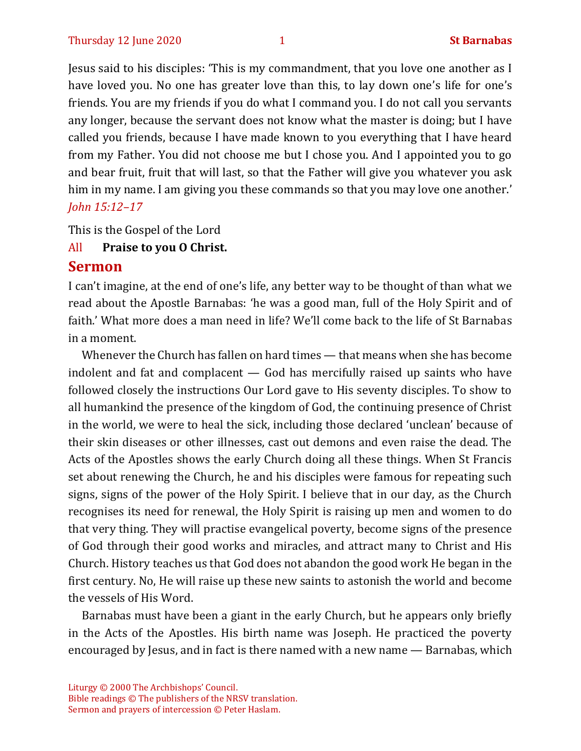Jesus said to his disciples: 'This is my commandment, that you love one another as I have loved you. No one has greater love than this, to lay down one's life for one's friends. You are my friends if you do what I command you. I do not call you servants any longer, because the servant does not know what the master is doing; but I have called you friends, because I have made known to you everything that I have heard from my Father. You did not choose me but I chose you. And I appointed you to go and bear fruit, fruit that will last, so that the Father will give you whatever you ask him in my name. I am giving you these commands so that you may love one another.' *John 15:12–17*

This is the Gospel of the Lord

#### All **Praise to you O Christ.**

### **Sermon**

I can't imagine, at the end of one's life, any better way to be thought of than what we read about the Apostle Barnabas: 'he was a good man, full of the Holy Spirit and of faith.' What more does a man need in life? We'll come back to the life of St Barnabas in a moment.

Whenever the Church has fallen on hard times — that means when she has become indolent and fat and complacent — God has mercifully raised up saints who have followed closely the instructions Our Lord gave to His seventy disciples. To show to all humankind the presence of the kingdom of God, the continuing presence of Christ in the world, we were to heal the sick, including those declared 'unclean' because of their skin diseases or other illnesses, cast out demons and even raise the dead. The Acts of the Apostles shows the early Church doing all these things. When St Francis set about renewing the Church, he and his disciples were famous for repeating such signs, signs of the power of the Holy Spirit. I believe that in our day, as the Church recognises its need for renewal, the Holy Spirit is raising up men and women to do that very thing. They will practise evangelical poverty, become signs of the presence of God through their good works and miracles, and attract many to Christ and His Church. History teaches us that God does not abandon the good work He began in the first century. No, He will raise up these new saints to astonish the world and become the vessels of His Word.

Barnabas must have been a giant in the early Church, but he appears only briefly in the Acts of the Apostles. His birth name was Joseph. He practiced the poverty encouraged by Jesus, and in fact is there named with a new name — Barnabas, which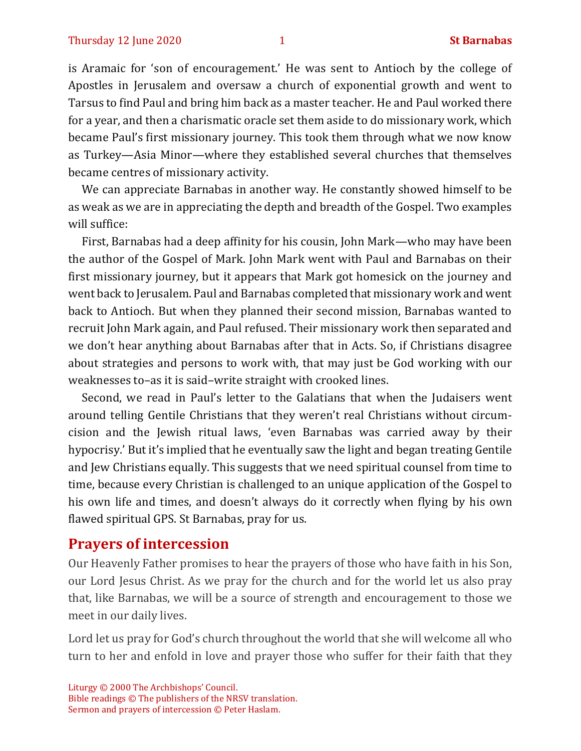is Aramaic for 'son of encouragement.' He was sent to Antioch by the college of Apostles in Jerusalem and oversaw a church of exponential growth and went to Tarsus to find Paul and bring him back as a master teacher. He and Paul worked there for a year, and then a charismatic oracle set them aside to do missionary work, which became Paul's first missionary journey. This took them through what we now know as Turkey—Asia Minor—where they established several churches that themselves became centres of missionary activity.

We can appreciate Barnabas in another way. He constantly showed himself to be as weak as we are in appreciating the depth and breadth of the Gospel. Two examples will suffice:

First, Barnabas had a deep affinity for his cousin, John Mark—who may have been the author of the Gospel of Mark. John Mark went with Paul and Barnabas on their first missionary journey, but it appears that Mark got homesick on the journey and went back to Jerusalem. Paul and Barnabas completed that missionary work and went back to Antioch. But when they planned their second mission, Barnabas wanted to recruit John Mark again, and Paul refused. Their missionary work then separated and we don't hear anything about Barnabas after that in Acts. So, if Christians disagree about strategies and persons to work with, that may just be God working with our weaknesses to–as it is said–write straight with crooked lines.

Second, we read in Paul's letter to the Galatians that when the Judaisers went around telling Gentile Christians that they weren't real Christians without circumcision and the Jewish ritual laws, 'even Barnabas was carried away by their hypocrisy.' But it's implied that he eventually saw the light and began treating Gentile and Jew Christians equally. This suggests that we need spiritual counsel from time to time, because every Christian is challenged to an unique application of the Gospel to his own life and times, and doesn't always do it correctly when flying by his own flawed spiritual GPS. St Barnabas, pray for us.

### **Prayers of intercession**

Our Heavenly Father promises to hear the prayers of those who have faith in his Son, our Lord Jesus Christ. As we pray for the church and for the world let us also pray that, like Barnabas, we will be a source of strength and encouragement to those we meet in our daily lives.

Lord let us pray for God's church throughout the world that she will welcome all who turn to her and enfold in love and prayer those who suffer for their faith that they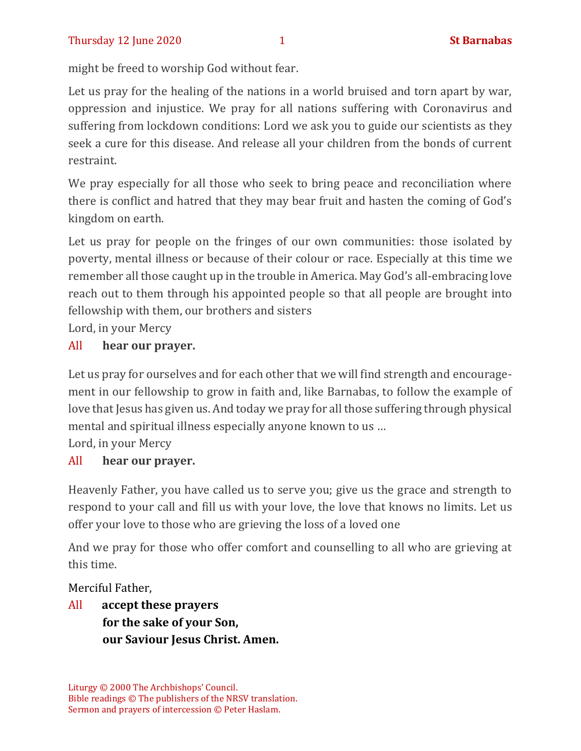might be freed to worship God without fear.

Let us pray for the healing of the nations in a world bruised and torn apart by war, oppression and injustice. We pray for all nations suffering with Coronavirus and suffering from lockdown conditions: Lord we ask you to guide our scientists as they seek a cure for this disease. And release all your children from the bonds of current restraint.

We pray especially for all those who seek to bring peace and reconciliation where there is conflict and hatred that they may bear fruit and hasten the coming of God's kingdom on earth.

Let us pray for people on the fringes of our own communities: those isolated by poverty, mental illness or because of their colour or race. Especially at this time we remember all those caught up in the trouble in America. May God's all-embracing love reach out to them through his appointed people so that all people are brought into fellowship with them, our brothers and sisters

Lord, in your Mercy

### All **hear our prayer.**

Let us pray for ourselves and for each other that we will find strength and encouragement in our fellowship to grow in faith and, like Barnabas, to follow the example of love that Jesus has given us. And today we pray for all those suffering through physical mental and spiritual illness especially anyone known to us …

Lord, in your Mercy

### All **hear our prayer.**

Heavenly Father, you have called us to serve you; give us the grace and strength to respond to your call and fill us with your love, the love that knows no limits. Let us offer your love to those who are grieving the loss of a loved one

And we pray for those who offer comfort and counselling to all who are grieving at this time.

Merciful Father,

All **accept these prayers for the sake of your Son, our Saviour Jesus Christ. Amen.**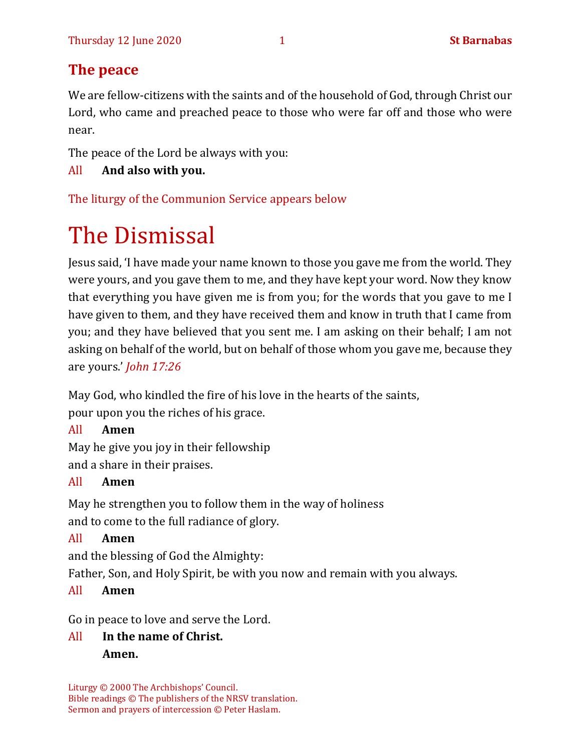# **The peace**

We are fellow-citizens with the saints and of the household of God, through Christ our Lord, who came and preached peace to those who were far off and those who were near.

The peace of the Lord be always with you:

### All **And also with you.**

The liturgy of the Communion Service appears below

# The Dismissal

Jesus said, 'I have made your name known to those you gave me from the world. They were yours, and you gave them to me, and they have kept your word. Now they know that everything you have given me is from you; for the words that you gave to me I have given to them, and they have received them and know in truth that I came from you; and they have believed that you sent me. I am asking on their behalf; I am not asking on behalf of the world, but on behalf of those whom you gave me, because they are yours.' *John 17:26*

May God, who kindled the fire of his love in the hearts of the saints, pour upon you the riches of his grace.

### All **Amen**

May he give you joy in their fellowship and a share in their praises.

## All **Amen**

May he strengthen you to follow them in the way of holiness and to come to the full radiance of glory.

### All **Amen**

and the blessing of God the Almighty:

Father, Son, and Holy Spirit, be with you now and remain with you always.

### All **Amen**

Go in peace to love and serve the Lord.

## All **In the name of Christ. Amen.**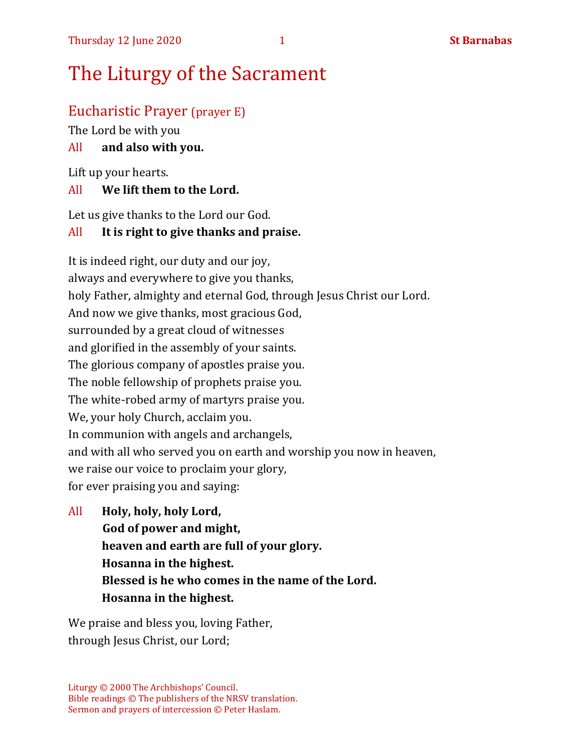# The Liturgy of the Sacrament

# Eucharistic Prayer (prayer E)

The Lord be with you

### All **and also with you.**

Lift up your hearts.

### All **We lift them to the Lord.**

Let us give thanks to the Lord our God.

### All **It is right to give thanks and praise.**

It is indeed right, our duty and our joy, always and everywhere to give you thanks, holy Father, almighty and eternal God, through Jesus Christ our Lord. And now we give thanks, most gracious God, surrounded by a great cloud of witnesses and glorified in the assembly of your saints. The glorious company of apostles praise you. The noble fellowship of prophets praise you. The white-robed army of martyrs praise you. We, your holy Church, acclaim you. In communion with angels and archangels, and with all who served you on earth and worship you now in heaven, we raise our voice to proclaim your glory, for ever praising you and saying:

All **Holy, holy, holy Lord, God of power and might, heaven and earth are full of your glory. Hosanna in the highest. Blessed is he who comes in the name of the Lord. Hosanna in the highest.**

We praise and bless you, loving Father, through Jesus Christ, our Lord;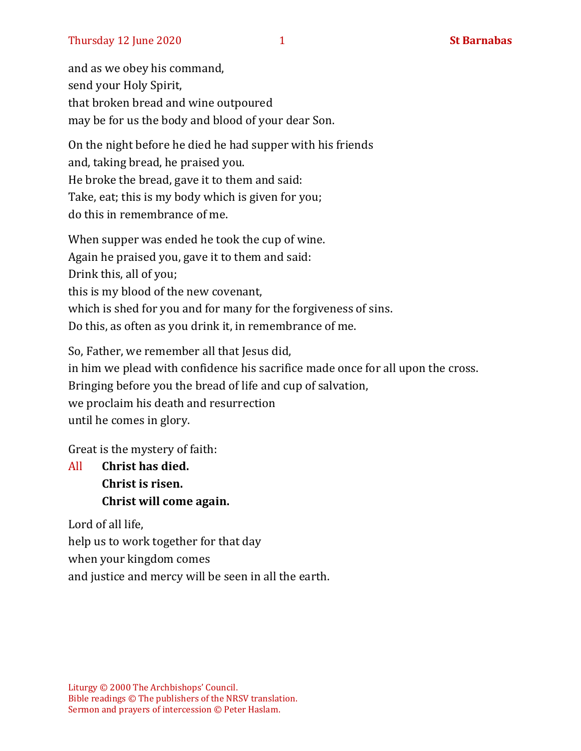and as we obey his command, send your Holy Spirit, that broken bread and wine outpoured may be for us the body and blood of your dear Son.

On the night before he died he had supper with his friends and, taking bread, he praised you. He broke the bread, gave it to them and said: Take, eat; this is my body which is given for you; do this in remembrance of me.

When supper was ended he took the cup of wine. Again he praised you, gave it to them and said: Drink this, all of you; this is my blood of the new covenant, which is shed for you and for many for the forgiveness of sins. Do this, as often as you drink it, in remembrance of me.

So, Father, we remember all that Jesus did, in him we plead with confidence his sacrifice made once for all upon the cross. Bringing before you the bread of life and cup of salvation, we proclaim his death and resurrection until he comes in glory.

Great is the mystery of faith:

All **Christ has died. Christ is risen. Christ will come again.**

Lord of all life, help us to work together for that day when your kingdom comes and justice and mercy will be seen in all the earth.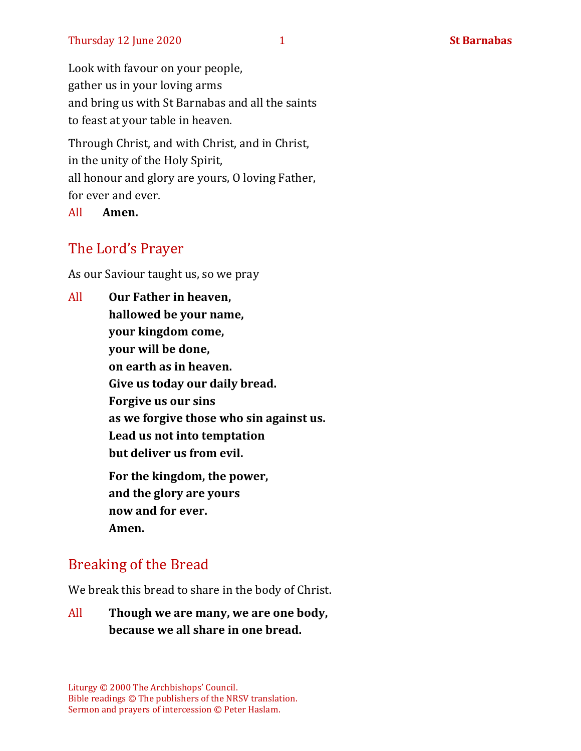Look with favour on your people, gather us in your loving arms and bring us with St Barnabas and all the saints to feast at your table in heaven.

Through Christ, and with Christ, and in Christ, in the unity of the Holy Spirit, all honour and glory are yours, O loving Father, for ever and ever.

All **Amen.**

# The Lord's Prayer

As our Saviour taught us, so we pray

All **Our Father in heaven, hallowed be your name, your kingdom come, your will be done, on earth as in heaven. Give us today our daily bread. Forgive us our sins as we forgive those who sin against us. Lead us not into temptation but deliver us from evil. For the kingdom, the power, and the glory are yours now and for ever. Amen.**

# Breaking of the Bread

We break this bread to share in the body of Christ.

All **Though we are many, we are one body, because we all share in one bread.**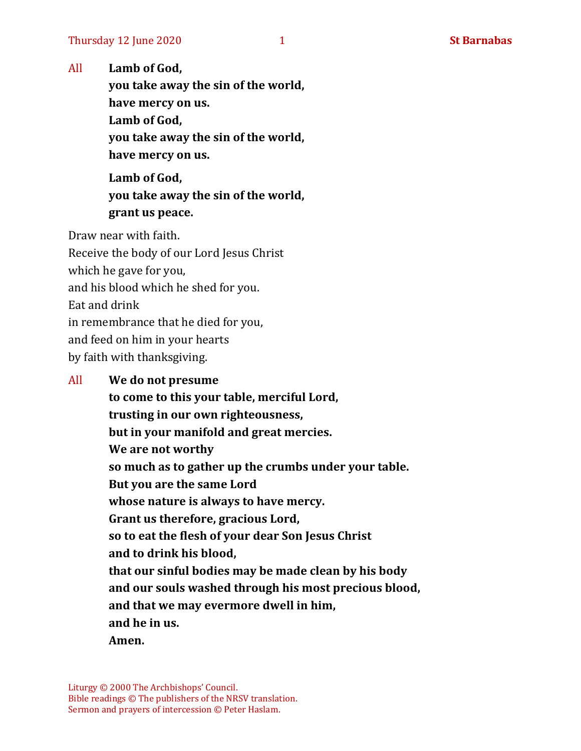All **Lamb of God,**

**you take away the sin of the world, have mercy on us. Lamb of God, you take away the sin of the world,** 

**have mercy on us.**

**Lamb of God, you take away the sin of the world, grant us peace.**

Draw near with faith.

Receive the body of our Lord Jesus Christ which he gave for you, and his blood which he shed for you. Eat and drink in remembrance that he died for you, and feed on him in your hearts by faith with thanksgiving.

### All **We do not presume**

**to come to this your table, merciful Lord, trusting in our own righteousness, but in your manifold and great mercies. We are not worthy so much as to gather up the crumbs under your table. But you are the same Lord whose nature is always to have mercy. Grant us therefore, gracious Lord, so to eat the flesh of your dear Son Jesus Christ and to drink his blood, that our sinful bodies may be made clean by his body and our souls washed through his most precious blood, and that we may evermore dwell in him, and he in us. Amen.**